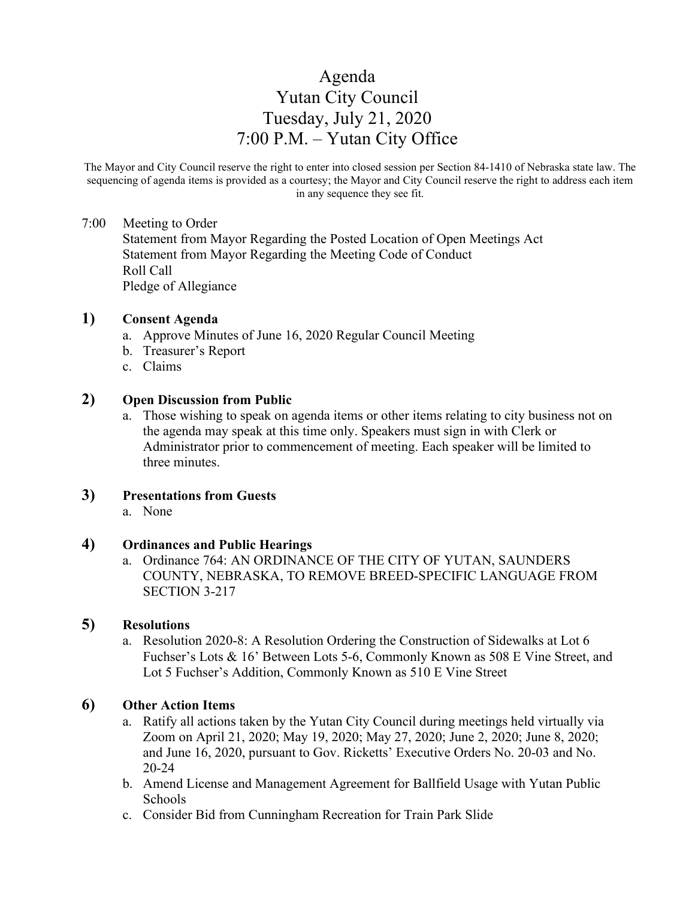# Agenda Yutan City Council Tuesday, July 21, 2020 7:00 P.M. – Yutan City Office

The Mayor and City Council reserve the right to enter into closed session per Section 84-1410 of Nebraska state law. The sequencing of agenda items is provided as a courtesy; the Mayor and City Council reserve the right to address each item in any sequence they see fit.

#### 7:00 Meeting to Order

Statement from Mayor Regarding the Posted Location of Open Meetings Act Statement from Mayor Regarding the Meeting Code of Conduct Roll Call Pledge of Allegiance

#### **1) Consent Agenda**

- a. Approve Minutes of June 16, 2020 Regular Council Meeting
- b. Treasurer's Report
- c. Claims

#### **2) Open Discussion from Public**

a. Those wishing to speak on agenda items or other items relating to city business not on the agenda may speak at this time only. Speakers must sign in with Clerk or Administrator prior to commencement of meeting. Each speaker will be limited to three minutes.

## **3) Presentations from Guests**

a. None

#### **4) Ordinances and Public Hearings**

a. Ordinance 764: AN ORDINANCE OF THE CITY OF YUTAN, SAUNDERS COUNTY, NEBRASKA, TO REMOVE BREED-SPECIFIC LANGUAGE FROM SECTION 3-217

# **5) Resolutions**

a. Resolution 2020-8: A Resolution Ordering the Construction of Sidewalks at Lot 6 Fuchser's Lots & 16' Between Lots 5-6, Commonly Known as 508 E Vine Street, and Lot 5 Fuchser's Addition, Commonly Known as 510 E Vine Street

#### **6) Other Action Items**

- a. Ratify all actions taken by the Yutan City Council during meetings held virtually via Zoom on April 21, 2020; May 19, 2020; May 27, 2020; June 2, 2020; June 8, 2020; and June 16, 2020, pursuant to Gov. Ricketts' Executive Orders No. 20-03 and No. 20-24
- b. Amend License and Management Agreement for Ballfield Usage with Yutan Public Schools
- c. Consider Bid from Cunningham Recreation for Train Park Slide